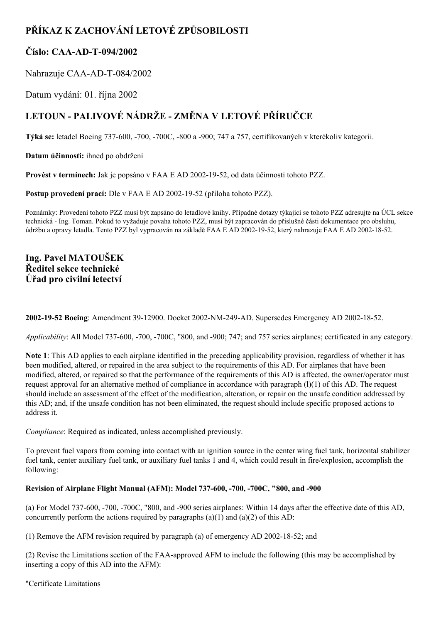# **PŘÍKAZ K ZACHOVÁNÍ LETOVÉ ZPŮSOBILOSTI**

# **Číslo: CAA-AD-T-094/2002**

Nahrazuje CAA-AD-T-084/2002

Datum vydání: 01. října 2002

# **LETOUN PALIVOVÉ NÁDRŽE ZMĚNA V LETOVÉ PŘÍRUČCE**

**Týká se:** letadel Boeing 737-600, -700, -700C, -800 a -900; 747 a 757, certifikovaných v kterékoliv kategorii.

**Datum účinnosti:** ihned po obdržení

**Provést v termínech:** Jak je popsáno v FAA E AD 2002-19-52, od data účinnosti tohoto PZZ.

**Postup provedení prací:** Dle v FAA E AD 2002-19-52 (příloha tohoto PZZ).

Poznámky: Provedení tohoto PZZ musí být zapsáno do letadlové knihy. Případné dotazy týkající se tohoto PZZ adresujte na ÚCL sekce technická - Ing. Toman. Pokud to vyžaduje povaha tohoto PZZ, musí být zapracován do příslušné části dokumentace pro obsluhu, údržbu a opravy letadla. Tento PZZ byl vypracován na základě FAA E AD 2002-19-52, který nahrazuje FAA E AD 2002-18-52.

# **Ing. Pavel MATOUŠEK Ředitel sekce technické Úřad pro civilní letectví**

**2002-19-52 Boeing**: Amendment 39-12900. Docket 2002-NM-249-AD. Supersedes Emergency AD 2002-18-52.

*Applicability*: All Model 737-600, -700, -700C, "800, and -900; 747; and 757 series airplanes; certificated in any category.

**Note 1**: This AD applies to each airplane identified in the preceding applicability provision, regardless of whether it has been modified, altered, or repaired in the area subject to the requirements of this AD. For airplanes that have been modified, altered, or repaired so that the performance of the requirements of this AD is affected, the owner/operator must request approval for an alternative method of compliance in accordance with paragraph (l)(1) of this AD. The request should include an assessment of the effect of the modification, alteration, or repair on the unsafe condition addressed by this AD; and, if the unsafe condition has not been eliminated, the request should include specific proposed actions to address it.

*Compliance*: Required as indicated, unless accomplished previously.

To prevent fuel vapors from coming into contact with an ignition source in the center wing fuel tank, horizontal stabilizer fuel tank, center auxiliary fuel tank, or auxiliary fuel tanks 1 and 4, which could result in fire/explosion, accomplish the following:

# **Revision of Airplane Flight Manual (AFM): Model 737600, 700, 700C, "800, and 900**

(a) For Model 737600, 700, 700C, "800, and 900 series airplanes: Within 14 days after the effective date of this AD, concurrently perform the actions required by paragraphs  $(a)(1)$  and  $(a)(2)$  of this AD:

(1) Remove the AFM revision required by paragraph (a) of emergency AD 2002-18-52; and

(2) Revise the Limitations section of the FAA-approved AFM to include the following (this may be accomplished by inserting a copy of this AD into the AFM):

"Certificate Limitations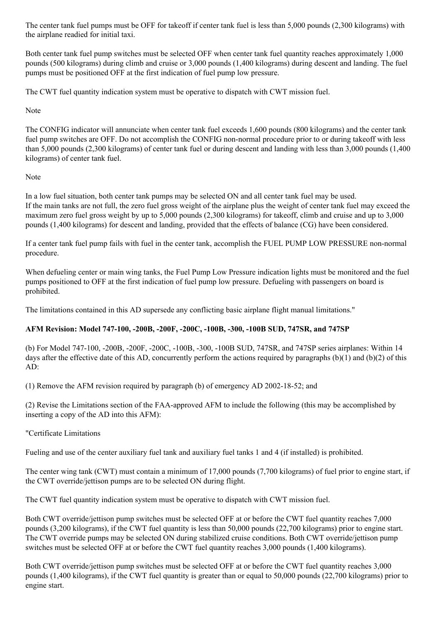The center tank fuel pumps must be OFF for takeoff if center tank fuel is less than 5,000 pounds (2,300 kilograms) with the airplane readied for initial taxi.

Both center tank fuel pump switches must be selected OFF when center tank fuel quantity reaches approximately 1,000 pounds (500 kilograms) during climb and cruise or 3,000 pounds (1,400 kilograms) during descent and landing. The fuel pumps must be positioned OFF at the first indication of fuel pump low pressure.

The CWT fuel quantity indication system must be operative to dispatch with CWT mission fuel.

Note

The CONFIG indicator will annunciate when center tank fuel exceeds 1,600 pounds (800 kilograms) and the center tank fuel pump switches are OFF. Do not accomplish the CONFIG non-normal procedure prior to or during takeoff with less than 5,000 pounds (2,300 kilograms) of center tank fuel or during descent and landing with less than 3,000 pounds (1,400 kilograms) of center tank fuel.

# Note

In a low fuel situation, both center tank pumps may be selected ON and all center tank fuel may be used. If the main tanks are not full, the zero fuel gross weight of the airplane plus the weight of center tank fuel may exceed the maximum zero fuel gross weight by up to 5,000 pounds (2,300 kilograms) for takeoff, climb and cruise and up to 3,000 pounds (1,400 kilograms) for descent and landing, provided that the effects of balance (CG) have been considered.

If a center tank fuel pump fails with fuel in the center tank, accomplish the FUEL PUMP LOW PRESSURE non-normal procedure.

When defueling center or main wing tanks, the Fuel Pump Low Pressure indication lights must be monitored and the fuel pumps positioned to OFF at the first indication of fuel pump low pressure. Defueling with passengers on board is prohibited.

The limitations contained in this AD supersede any conflicting basic airplane flight manual limitations."

# **AFM Revision: Model 747100, 200B, 200F, 200C, 100B, 300, 100B SUD, 747SR, and 747SP**

(b) For Model 747100, 200B, 200F, 200C, 100B, 300, 100B SUD, 747SR, and 747SP series airplanes: Within 14 days after the effective date of this AD, concurrently perform the actions required by paragraphs (b)(1) and (b)(2) of this AD:

(1) Remove the AFM revision required by paragraph (b) of emergency AD 20021852; and

(2) Revise the Limitations section of the FAAapproved AFM to include the following (this may be accomplished by inserting a copy of the AD into this AFM):

# "Certificate Limitations

Fueling and use of the center auxiliary fuel tank and auxiliary fuel tanks 1 and 4 (if installed) is prohibited.

The center wing tank (CWT) must contain a minimum of 17,000 pounds (7,700 kilograms) of fuel prior to engine start, if the CWT override/jettison pumps are to be selected ON during flight.

The CWT fuel quantity indication system must be operative to dispatch with CWT mission fuel.

Both CWT override/jettison pump switches must be selected OFF at or before the CWT fuel quantity reaches 7,000 pounds (3,200 kilograms), if the CWT fuel quantity is less than 50,000 pounds (22,700 kilograms) prior to engine start. The CWT override pumps may be selected ON during stabilized cruise conditions. Both CWT override/jettison pump switches must be selected OFF at or before the CWT fuel quantity reaches 3,000 pounds (1,400 kilograms).

Both CWT override/jettison pump switches must be selected OFF at or before the CWT fuel quantity reaches 3,000 pounds (1,400 kilograms), if the CWT fuel quantity is greater than or equal to 50,000 pounds (22,700 kilograms) prior to engine start.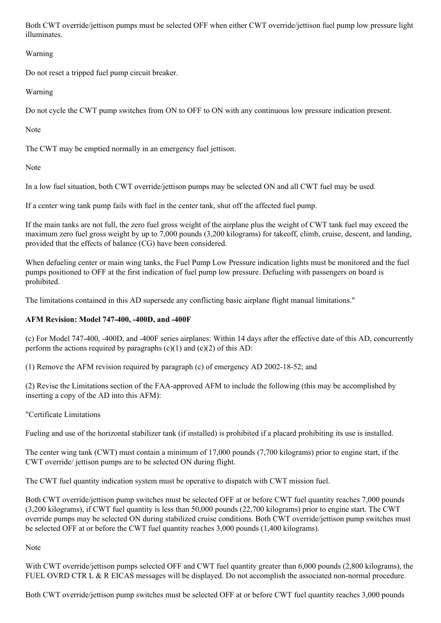Both CWT override/jettison pumps must be selected OFF when either CWT override/jettison fuel pump low pressure light illuminates.

Warning

Do not reset a tripped fuel pump circuit breaker.

Warning

Do not cycle the CWT pump switches from ON to OFF to ON with any continuous low pressure indication present.

Note

The CWT may be emptied normally in an emergency fuel jettison.

Note

In a low fuel situation, both CWT override/jettison pumps may be selected ON and all CWT fuel may be used.

If a center wing tank pump fails with fuel in the center tank, shut off the affected fuel pump.

If the main tanks are not full, the zero fuel gross weight of the airplane plus the weight of CWT tank fuel may exceed the maximum zero fuel gross weight by up to 7,000 pounds (3,200 kilograms) for takeoff, climb, cruise, descent, and landing, provided that the effects of balance (CG) have been considered.

When defueling center or main wing tanks, the Fuel Pump Low Pressure indication lights must be monitored and the fuel pumps positioned to OFF at the first indication of fuel pump low pressure. Defueling with passengers on board is prohibited.

The limitations contained in this AD supersede any conflicting basic airplane flight manual limitations."

# **AFM Revision: Model 747400, 400D, and 400F**

(c) For Model 747400, 400D, and 400F series airplanes: Within 14 days after the effective date of this AD, concurrently perform the actions required by paragraphs  $(c)(1)$  and  $(c)(2)$  of this AD:

(1) Remove the AFM revision required by paragraph (c) of emergency AD 2002-18-52; and

(2) Revise the Limitations section of the FAAapproved AFM to include the following (this may be accomplished by inserting a copy of the AD into this AFM):

"Certificate Limitations

Fueling and use of the horizontal stabilizer tank (if installed) is prohibited if a placard prohibiting its use is installed.

The center wing tank (CWT) must contain a minimum of 17,000 pounds (7,700 kilograms) prior to engine start, if the CWT override/ jettison pumps are to be selected ON during flight.

The CWT fuel quantity indication system must be operative to dispatch with CWT mission fuel.

Both CWT override/jettison pump switches must be selected OFF at or before CWT fuel quantity reaches 7,000 pounds (3,200 kilograms), if CWT fuel quantity is less than 50,000 pounds (22,700 kilograms) prior to engine start. The CWT override pumps may be selected ON during stabilized cruise conditions. Both CWT override/jettison pump switches must be selected OFF at or before the CWT fuel quantity reaches 3,000 pounds (1,400 kilograms).

Note

With CWT override/jettison pumps selected OFF and CWT fuel quantity greater than 6,000 pounds (2,800 kilograms), the FUEL OVRD CTR L & R EICAS messages will be displayed. Do not accomplish the associated non-normal procedure.

Both CWT override/jettison pump switches must be selected OFF at or before CWT fuel quantity reaches 3,000 pounds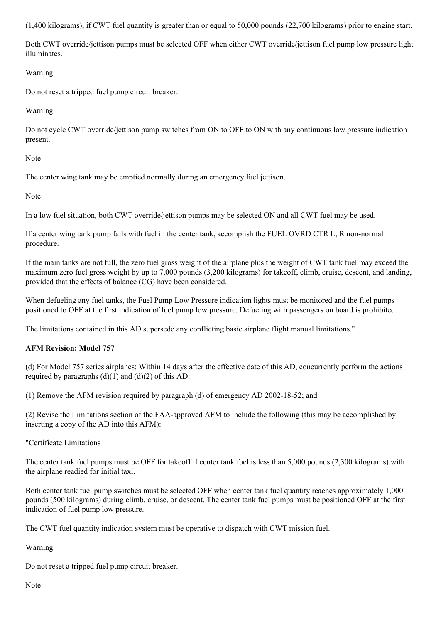(1,400 kilograms), if CWT fuel quantity is greater than or equal to 50,000 pounds (22,700 kilograms) prior to engine start.

Both CWT override/jettison pumps must be selected OFF when either CWT override/jettison fuel pump low pressure light illuminates.

# Warning

Do not reset a tripped fuel pump circuit breaker.

#### Warning

Do not cycle CWT override/jettison pump switches from ON to OFF to ON with any continuous low pressure indication present.

#### Note

The center wing tank may be emptied normally during an emergency fuel jettison.

#### Note

In a low fuel situation, both CWT override/jettison pumps may be selected ON and all CWT fuel may be used.

If a center wing tank pump fails with fuel in the center tank, accomplish the FUEL OVRD CTR L, R non-normal procedure.

If the main tanks are not full, the zero fuel gross weight of the airplane plus the weight of CWT tank fuel may exceed the maximum zero fuel gross weight by up to 7,000 pounds (3,200 kilograms) for takeoff, climb, cruise, descent, and landing, provided that the effects of balance (CG) have been considered.

When defueling any fuel tanks, the Fuel Pump Low Pressure indication lights must be monitored and the fuel pumps positioned to OFF at the first indication of fuel pump low pressure. Defueling with passengers on board is prohibited.

The limitations contained in this AD supersede any conflicting basic airplane flight manual limitations."

# **AFM Revision: Model 757**

(d) For Model 757 series airplanes: Within 14 days after the effective date of this AD, concurrently perform the actions required by paragraphs  $(d)(1)$  and  $(d)(2)$  of this AD:

(1) Remove the AFM revision required by paragraph (d) of emergency AD 2002-18-52; and

(2) Revise the Limitations section of the FAAapproved AFM to include the following (this may be accomplished by inserting a copy of the AD into this AFM):

# "Certificate Limitations

The center tank fuel pumps must be OFF for takeoff if center tank fuel is less than 5,000 pounds (2,300 kilograms) with the airplane readied for initial taxi.

Both center tank fuel pump switches must be selected OFF when center tank fuel quantity reaches approximately 1,000 pounds (500 kilograms) during climb, cruise, or descent. The center tank fuel pumps must be positioned OFF at the first indication of fuel pump low pressure.

The CWT fuel quantity indication system must be operative to dispatch with CWT mission fuel.

Warning

Do not reset a tripped fuel pump circuit breaker.

Note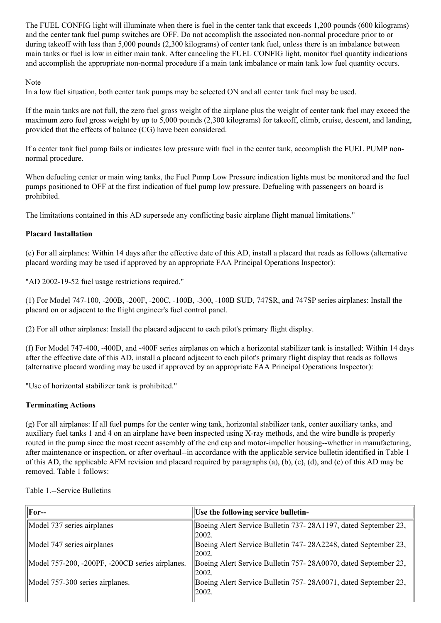The FUEL CONFIG light will illuminate when there is fuel in the center tank that exceeds 1,200 pounds (600 kilograms) and the center tank fuel pump switches are OFF. Do not accomplish the associated nonnormal procedure prior to or during takeoff with less than 5,000 pounds (2,300 kilograms) of center tank fuel, unless there is an imbalance between main tanks or fuel is low in either main tank. After canceling the FUEL CONFIG light, monitor fuel quantity indications and accomplish the appropriate non-normal procedure if a main tank imbalance or main tank low fuel quantity occurs.

#### Note

In a low fuel situation, both center tank pumps may be selected ON and all center tank fuel may be used.

If the main tanks are not full, the zero fuel gross weight of the airplane plus the weight of center tank fuel may exceed the maximum zero fuel gross weight by up to 5,000 pounds (2,300 kilograms) for takeoff, climb, cruise, descent, and landing, provided that the effects of balance (CG) have been considered.

If a center tank fuel pump fails or indicates low pressure with fuel in the center tank, accomplish the FUEL PUMP nonnormal procedure.

When defueling center or main wing tanks, the Fuel Pump Low Pressure indication lights must be monitored and the fuel pumps positioned to OFF at the first indication of fuel pump low pressure. Defueling with passengers on board is prohibited.

The limitations contained in this AD supersede any conflicting basic airplane flight manual limitations."

# **Placard Installation**

(e) For all airplanes: Within 14 days after the effective date of this AD, install a placard that reads as follows (alternative placard wording may be used if approved by an appropriate FAA Principal Operations Inspector):

"AD 2002-19-52 fuel usage restrictions required."

(1) For Model 747100, 200B, 200F, 200C, 100B, 300, 100B SUD, 747SR, and 747SP series airplanes: Install the placard on or adjacent to the flight engineer's fuel control panel.

(2) For all other airplanes: Install the placard adjacent to each pilot's primary flight display.

(f) For Model 747400, 400D, and 400F series airplanes on which a horizontal stabilizer tank is installed: Within 14 days after the effective date of this AD, install a placard adjacent to each pilot's primary flight display that reads as follows (alternative placard wording may be used if approved by an appropriate FAA Principal Operations Inspector):

"Use of horizontal stabilizer tank is prohibited."

#### **Terminating Actions**

(g) For all airplanes: If all fuel pumps for the center wing tank, horizontal stabilizer tank, center auxiliary tanks, and auxiliary fuel tanks 1 and 4 on an airplane have been inspected using X-ray methods, and the wire bundle is properly routed in the pump since the most recent assembly of the end cap and motor-impeller housing--whether in manufacturing, after maintenance or inspection, or after overhaul-in accordance with the applicable service bulletin identified in Table 1 of this AD, the applicable AFM revision and placard required by paragraphs (a), (b), (c), (d), and (e) of this AD may be removed. Table 1 follows:

| For--                                           | Use the following service bulletin-                                       |  |
|-------------------------------------------------|---------------------------------------------------------------------------|--|
| Model 737 series airplanes                      | Boeing Alert Service Bulletin 737-28A1197, dated September 23,<br> 2002.  |  |
| Model 747 series airplanes                      | Boeing Alert Service Bulletin 747- 28A2248, dated September 23,<br> 2002. |  |
| Model 757-200, -200PF, -200CB series airplanes. | Boeing Alert Service Bulletin 757-28A0070, dated September 23,<br> 2002.  |  |
| Model 757-300 series airplanes.                 | Boeing Alert Service Bulletin 757-28A0071, dated September 23,<br> 2002.  |  |

Table 1.--Service Bulletins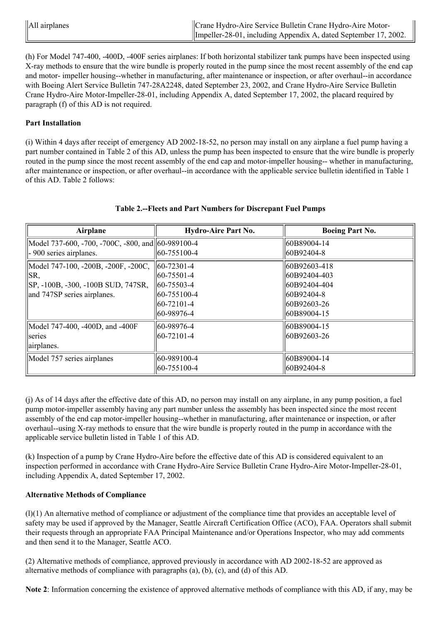| $\parallel$ All airplanes | Crane Hydro-Aire Service Bulletin Crane Hydro-Aire Motor-       |  |
|---------------------------|-----------------------------------------------------------------|--|
|                           | Impeller-28-01, including Appendix A, dated September 17, 2002. |  |

(h) For Model 747400, 400D, 400F series airplanes: If both horizontal stabilizer tank pumps have been inspected using X-ray methods to ensure that the wire bundle is properly routed in the pump since the most recent assembly of the end cap and motor- impeller housing--whether in manufacturing, after maintenance or inspection, or after overhaul--in accordance with Boeing Alert Service Bulletin 747-28A2248, dated September 23, 2002, and Crane Hydro-Aire Service Bulletin Crane Hydro-Aire Motor-Impeller-28-01, including Appendix A, dated September 17, 2002, the placard required by paragraph (f) of this AD is not required.

#### **Part Installation**

(i) Within 4 days after receipt of emergency AD 20021852, no person may install on any airplane a fuel pump having a part number contained in Table 2 of this AD, unless the pump has been inspected to ensure that the wire bundle is properly routed in the pump since the most recent assembly of the end cap and motor-impeller housing-- whether in manufacturing, after maintenance or inspection, or after overhaul-in accordance with the applicable service bulletin identified in Table 1 of this AD. Table 2 follows:

| Airplane                                          | <b>Hydro-Aire Part No.</b> | <b>Boeing Part No.</b> |
|---------------------------------------------------|----------------------------|------------------------|
| Model 737-600, -700, -700C, -800, and 60-989100-4 |                            | 60B89004-14            |
| - 900 series airplanes.                           | $ 60-755100-4$             | 60B92404-8             |
| Model 747-100, -200B, -200F, -200C,               | $\parallel$ 60-72301-4     | 60B92603-418           |
| SR,                                               | $ 60-75501-4 $             | 60B92404-403           |
| SP, -100B, -300, -100B SUD, 747SR,                | 60-75503-4                 | 60B92404-404           |
| and 747SP series airplanes.                       | $ 60-755100-4 $            | 60B92404-8             |
|                                                   | $ 60-72101-4 $             | 60B92603-26            |
|                                                   | 160-98976-4                | 60B89004-15            |
| Model 747-400, -400D, and -400F                   | 60-98976-4                 | 60B89004-15            |
| series                                            | $ 60-72101-4 $             | $ 60B92603-26$         |
| airplanes.                                        |                            |                        |
| Model 757 series airplanes                        | 60-989100-4                | 60B89004-14            |
|                                                   | $ 60-755100-4 $            | 60B92404-8             |

#### **Table 2.Fleets and Part Numbers for Discrepant Fuel Pumps**

(j) As of 14 days after the effective date of this AD, no person may install on any airplane, in any pump position, a fuel pump motor-impeller assembly having any part number unless the assembly has been inspected since the most recent assembly of the end cap motor-impeller housing--whether in manufacturing, after maintenance or inspection, or after overhaul--using X-ray methods to ensure that the wire bundle is properly routed in the pump in accordance with the applicable service bulletin listed in Table 1 of this AD.

(k) Inspection of a pump by Crane Hydro-Aire before the effective date of this AD is considered equivalent to an inspection performed in accordance with Crane Hydro-Aire Service Bulletin Crane Hydro-Aire Motor-Impeller-28-01, including Appendix A, dated September 17, 2002.

# **Alternative Methods of Compliance**

(l)(1) An alternative method of compliance or adjustment of the compliance time that provides an acceptable level of safety may be used if approved by the Manager, Seattle Aircraft Certification Office (ACO), FAA. Operators shall submit their requests through an appropriate FAA Principal Maintenance and/or Operations Inspector, who may add comments and then send it to the Manager, Seattle ACO.

(2) Alternative methods of compliance, approved previously in accordance with AD 2002-18-52 are approved as alternative methods of compliance with paragraphs (a), (b), (c), and (d) of this AD.

**Note 2**: Information concerning the existence of approved alternative methods of compliance with this AD, if any, may be